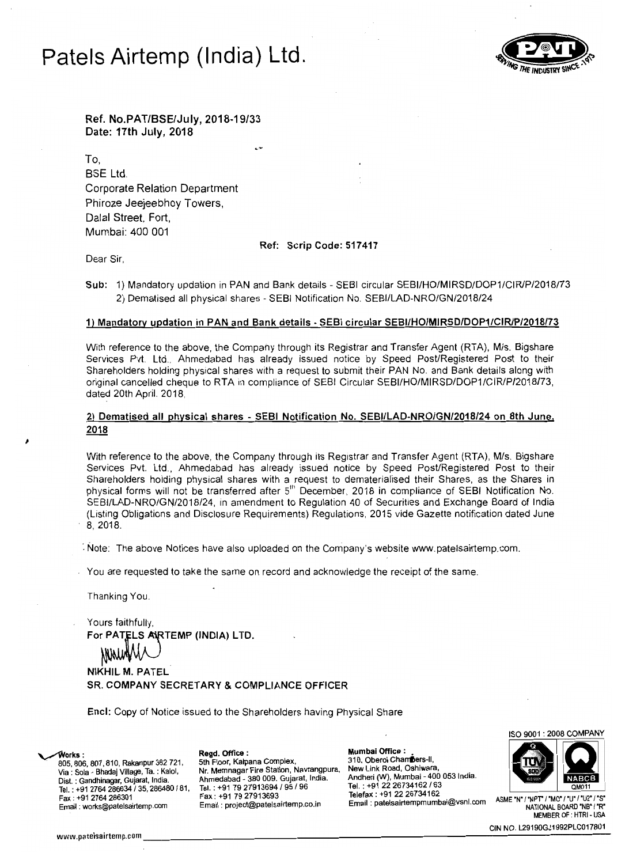# **Patels Airtemp (India) Ltd.**



Ref. No.PAT/BSE/July, 2018-19/33 Date: 17th July, 2018

To, BSE Ltd. Corporate Relation Department Phiroze Jeejeebhoy Towers, Dalal Street, Fort, Mumbai: 400 001

Ref: Scrip Code: 517417

Dear Sir,

Sub: 1) Mandatory updation in PAN and Bank details - SEBI circular SEBI/HO/MIRSD/DOP1/CIR/P/2018/73 2) Dematised all physical shares - SEBI Notification No. SEBI/LAD-NRO/GN/2018/24

### 1) Mandatory updation in PAN and Bank details - SEBI circular SEBIiHO/MIRSD/DOP1/CIRlP/2018/73

With reference to the above, the Company through its Registrar and Transfer Agent (RTA), M/s. Bigshare Services Pvt. Ltd., Ahmedabad has already issued notice by Speed Post/Registered Post to their Shareholders holding physical shares with a request to submit their PAN No. and Bank details along with original cancelled cheque to RTA in compliance of SEBI Circular SEBIIHO/MIRSD/DOP1/CIR/P/2018/73, dated 20th April. 2018,

## 2) Dematised all physical shares - SEBI Notification No. SEBI/LAD-NRO/GN/2018/24 on 8th June. 2018

With reference to the above, the Company through its Registrar and Transfer Agent (RTA), M/s. Bigshare Services Pvt. Ltd, Ahmedabad has already issued notice by Speed Post/Registered Post to their Shareholders holding physical shares with a request to dematerialised their Shares, as the Shares in physical forms will not be transferred after 5<sup>th</sup> December, 2018 in compliance of SEBI Notification No. SEBIlLAD-NRO/GN/2018/24, in amendment to Regulation 40 of Securities and Exchange Board of India (Listing Obligations and Disclosure Requirements) Regulations, 2015 vide Gazette notification dated June 8,2018.

<sup>~</sup>Note: The above Notices have also uploaded on the Company's website www.patelsairtemp.com.

You are requested to take the same on record and acknowledge the receipt of the same.

Thanking You

Yours faithfully, For PATELS ARTEMP (INDIA) LTD.

NIKHIL M. PATEL SR. COMPANY SECRETARY & COMPLIANCE OFFICER

Encl: Copy of Notice issued to the Shareholders having Physical Share

Nr. Memnagar Fire Station, Navrangpura.

Ahmedabad - 380 009. Gujarat,

Email: project@patelsairtemp.co.in

Fax: +91 79 27913693

**Works : Regd. Office :**<br>805, 806, 807, 810, Rakanpur 382 721, 5th Floor, Kalpana Complex, Via: Sola - Bhadaj Village, Ta. : Kalol, Dist. : Gandhinagar, Gujarat, India. **Tel.: +91 2764 286634 / 35, 286480 / 81, Tel.: +91 79 27913694 / 95 / 96<br>
Fax: +91 2764 286301 Fax: +91 79 27913693** Telefax : +91 22 2013 ASME "N" /"NPT" /"MO" / "U" /"U2' /"S" 22 23 23 23 23 24 25 24 25 24 25 25 24 25 25 26 2<br>"Email : works@patelsairtemp.com Email : project@patelsairtemp.co.in Email : patelsairtempm

**Mumbal Office:** 

310, Oberoi Chambers-II, angpara, Now Elim Noad, Community<br>ndia. Andheri (W), Mumbai - 400 ( New Link Road, Oshiwara, Tel. : +91 22 26734162 / 63<br>Telefax : +91 22 26734162

ISO 9001 : 2008 COMPANY



MEMBER OF : HTRI - USA

CIN NO. L29190GJ1992PLC017801 www.patelsairtemp.com \_\_\_\_\_\_\_\_\_\_\_\_\_\_\_\_\_\_\_\_\_\_\_\_\_\_\_\_\_\_\_\_\_----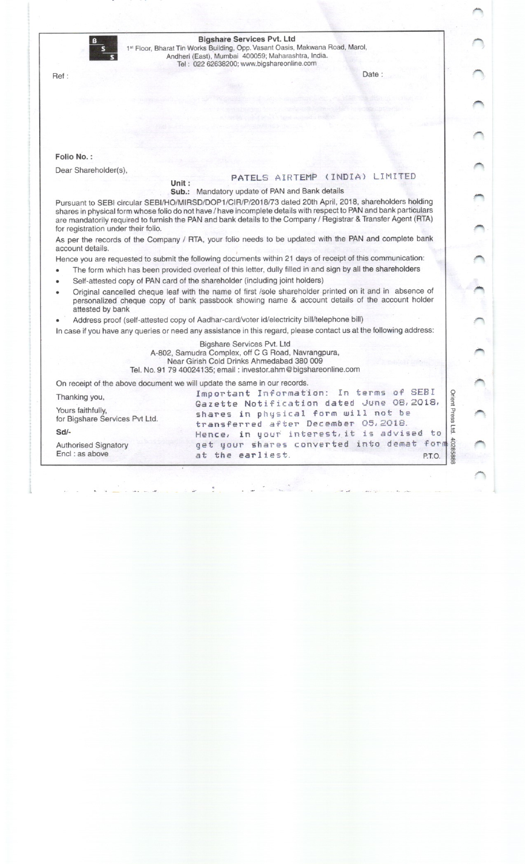|                                                                                                                                                                                                                               |                                                                                                                                                                                                                                                                                                                                                 | <b>Bigshare Services Pvt. Ltd</b><br>1st Floor, Bharat Tin Works Building, Opp. Vasant Oasis, Makwana Road, Marol,<br>Andheri (East), Mumbai 400059; Maharashtra, India.<br>Tel: 022 62638200; www.bigshareonline.com |              |  |  |  |
|-------------------------------------------------------------------------------------------------------------------------------------------------------------------------------------------------------------------------------|-------------------------------------------------------------------------------------------------------------------------------------------------------------------------------------------------------------------------------------------------------------------------------------------------------------------------------------------------|-----------------------------------------------------------------------------------------------------------------------------------------------------------------------------------------------------------------------|--------------|--|--|--|
|                                                                                                                                                                                                                               | Ref:                                                                                                                                                                                                                                                                                                                                            | Date:                                                                                                                                                                                                                 |              |  |  |  |
|                                                                                                                                                                                                                               |                                                                                                                                                                                                                                                                                                                                                 |                                                                                                                                                                                                                       |              |  |  |  |
|                                                                                                                                                                                                                               |                                                                                                                                                                                                                                                                                                                                                 |                                                                                                                                                                                                                       |              |  |  |  |
|                                                                                                                                                                                                                               | Folio No.:                                                                                                                                                                                                                                                                                                                                      |                                                                                                                                                                                                                       |              |  |  |  |
|                                                                                                                                                                                                                               | Dear Shareholder(s),<br>Unit:                                                                                                                                                                                                                                                                                                                   | PATELS AIRTEMP (INDIA) LIMITED                                                                                                                                                                                        |              |  |  |  |
|                                                                                                                                                                                                                               |                                                                                                                                                                                                                                                                                                                                                 | Sub.: Mandatory update of PAN and Bank details                                                                                                                                                                        |              |  |  |  |
|                                                                                                                                                                                                                               | Pursuant to SEBI circular SEBI/HO/MIRSD/DOP1/CIR/P/2018/73 dated 20th April, 2018, shareholders holding<br>shares in physical form whose folio do not have / have incomplete details with respect to PAN and bank particulars<br>are mandatorily required to furnish the PAN and bank details to the Company / Registrar & Transfer Agent (RTA) |                                                                                                                                                                                                                       |              |  |  |  |
|                                                                                                                                                                                                                               | for registration under their folio.                                                                                                                                                                                                                                                                                                             |                                                                                                                                                                                                                       |              |  |  |  |
|                                                                                                                                                                                                                               | As per the records of the Company / RTA, your folio needs to be updated with the PAN and complete bank<br>account details.                                                                                                                                                                                                                      |                                                                                                                                                                                                                       |              |  |  |  |
| Hence you are requested to submit the following documents within 21 days of receipt of this communication:                                                                                                                    |                                                                                                                                                                                                                                                                                                                                                 |                                                                                                                                                                                                                       |              |  |  |  |
|                                                                                                                                                                                                                               |                                                                                                                                                                                                                                                                                                                                                 | The form which has been provided overleaf of this letter, dully filled in and sign by all the shareholders                                                                                                            |              |  |  |  |
|                                                                                                                                                                                                                               |                                                                                                                                                                                                                                                                                                                                                 | Self-attested copy of PAN card of the shareholder (including joint holders)                                                                                                                                           |              |  |  |  |
| Original cancelled cheque leaf with the name of first /sole shareholder printed on it and in absence of<br>personalized cheque copy of bank passbook showing name & account details of the account holder<br>attested by bank |                                                                                                                                                                                                                                                                                                                                                 |                                                                                                                                                                                                                       |              |  |  |  |
|                                                                                                                                                                                                                               |                                                                                                                                                                                                                                                                                                                                                 | Address proof (self-attested copy of Aadhar-card/voter id/electricity bill/telephone bill)                                                                                                                            |              |  |  |  |
|                                                                                                                                                                                                                               |                                                                                                                                                                                                                                                                                                                                                 | In case if you have any queries or need any assistance in this regard, please contact us at the following address:                                                                                                    |              |  |  |  |
|                                                                                                                                                                                                                               | Bigshare Services Pvt. Ltd<br>A-802, Samudra Complex, off C G Road, Navrangpura,<br>Near Girish Cold Drinks Ahmedabad 380 009<br>Tel. No. 91 79 40024135; email: investor.ahm@bigshareonline.com                                                                                                                                                |                                                                                                                                                                                                                       |              |  |  |  |
|                                                                                                                                                                                                                               | On receipt of the above document we will update the same in our records.                                                                                                                                                                                                                                                                        |                                                                                                                                                                                                                       |              |  |  |  |
|                                                                                                                                                                                                                               | Thanking you,                                                                                                                                                                                                                                                                                                                                   | Important Information: In terms of SEBI<br>Gazette Notification dated June 08, 2018,                                                                                                                                  | Orient Press |  |  |  |
|                                                                                                                                                                                                                               | Yours faithfully,<br>for Bigshare Services Pvt Ltd.                                                                                                                                                                                                                                                                                             | shares in physical form will not be<br>transferred after December 05, 2018.                                                                                                                                           |              |  |  |  |
|                                                                                                                                                                                                                               | $Sd/-$                                                                                                                                                                                                                                                                                                                                          | Hence, in your interest, it is advised to                                                                                                                                                                             | Ltd.         |  |  |  |
|                                                                                                                                                                                                                               | <b>Authorised Signatory</b><br>Encl: as above                                                                                                                                                                                                                                                                                                   | get your shares converted into demat form                                                                                                                                                                             |              |  |  |  |